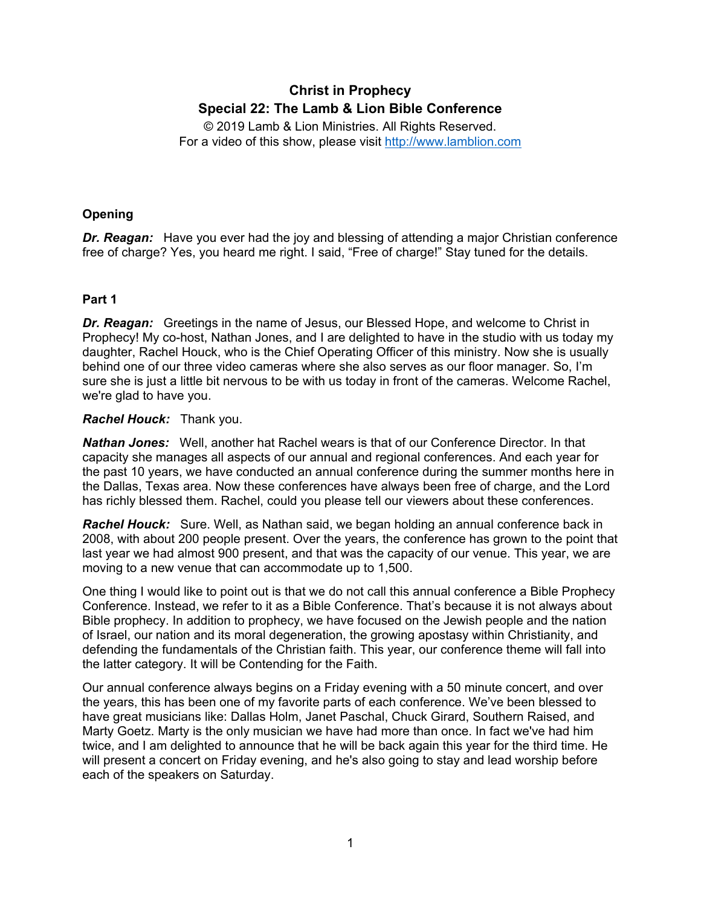# **Christ in Prophecy Special 22: The Lamb & Lion Bible Conference**

© 2019 Lamb & Lion Ministries. All Rights Reserved. For a video of this show, please visit [http://www.lamblion.com](http://www.lamblion.com/)

# **Opening**

*Dr. Reagan:* Have you ever had the joy and blessing of attending a major Christian conference free of charge? Yes, you heard me right. I said, "Free of charge!" Stay tuned for the details.

# **Part 1**

*Dr. Reagan:* Greetings in the name of Jesus, our Blessed Hope, and welcome to Christ in Prophecy! My co-host, Nathan Jones, and I are delighted to have in the studio with us today my daughter, Rachel Houck, who is the Chief Operating Officer of this ministry. Now she is usually behind one of our three video cameras where she also serves as our floor manager. So, I'm sure she is just a little bit nervous to be with us today in front of the cameras. Welcome Rachel, we're glad to have you.

#### *Rachel Houck:* Thank you.

*Nathan Jones:* Well, another hat Rachel wears is that of our Conference Director. In that capacity she manages all aspects of our annual and regional conferences. And each year for the past 10 years, we have conducted an annual conference during the summer months here in the Dallas, Texas area. Now these conferences have always been free of charge, and the Lord has richly blessed them. Rachel, could you please tell our viewers about these conferences.

*Rachel Houck:* Sure. Well, as Nathan said, we began holding an annual conference back in 2008, with about 200 people present. Over the years, the conference has grown to the point that last year we had almost 900 present, and that was the capacity of our venue. This year, we are moving to a new venue that can accommodate up to 1,500.

One thing I would like to point out is that we do not call this annual conference a Bible Prophecy Conference. Instead, we refer to it as a Bible Conference. That's because it is not always about Bible prophecy. In addition to prophecy, we have focused on the Jewish people and the nation of Israel, our nation and its moral degeneration, the growing apostasy within Christianity, and defending the fundamentals of the Christian faith. This year, our conference theme will fall into the latter category. It will be Contending for the Faith.

Our annual conference always begins on a Friday evening with a 50 minute concert, and over the years, this has been one of my favorite parts of each conference. We've been blessed to have great musicians like: Dallas Holm, Janet Paschal, Chuck Girard, Southern Raised, and Marty Goetz. Marty is the only musician we have had more than once. In fact we've had him twice, and I am delighted to announce that he will be back again this year for the third time. He will present a concert on Friday evening, and he's also going to stay and lead worship before each of the speakers on Saturday.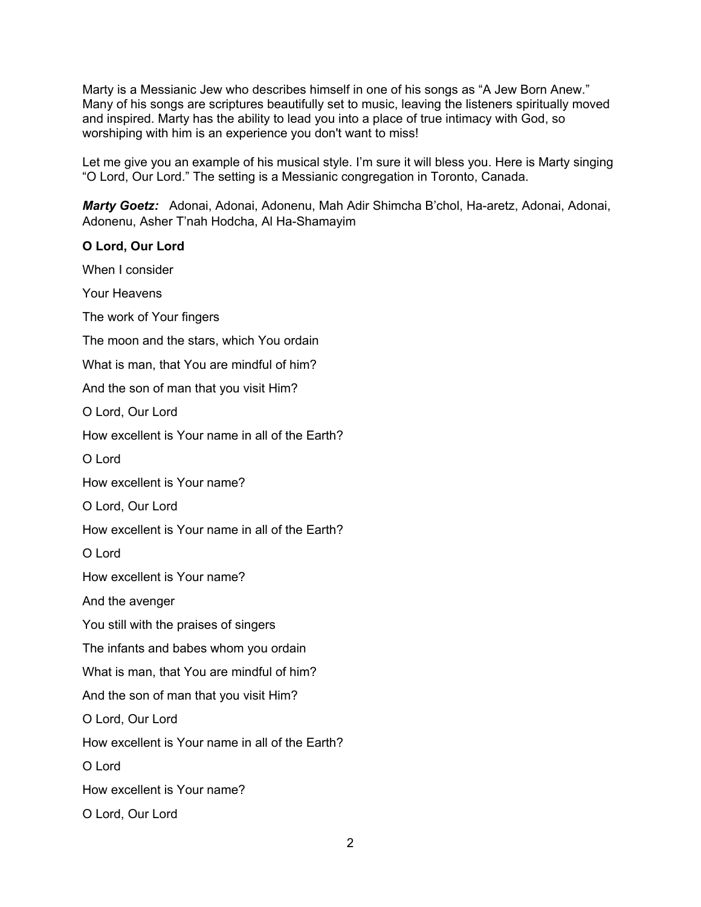Marty is a Messianic Jew who describes himself in one of his songs as "A Jew Born Anew." Many of his songs are scriptures beautifully set to music, leaving the listeners spiritually moved and inspired. Marty has the ability to lead you into a place of true intimacy with God, so worshiping with him is an experience you don't want to miss!

Let me give you an example of his musical style. I'm sure it will bless you. Here is Marty singing "O Lord, Our Lord." The setting is a Messianic congregation in Toronto, Canada.

*Marty Goetz:* Adonai, Adonai, Adonenu, Mah Adir Shimcha B'chol, Ha-aretz, Adonai, Adonai, Adonenu, Asher T'nah Hodcha, Al Ha-Shamayim

# **O Lord, Our Lord** When I consider Your Heavens The work of Your fingers The moon and the stars, which You ordain What is man, that You are mindful of him? And the son of man that you visit Him? O Lord, Our Lord How excellent is Your name in all of the Earth? O Lord How excellent is Your name? O Lord, Our Lord How excellent is Your name in all of the Earth? O Lord How excellent is Your name? And the avenger You still with the praises of singers The infants and babes whom you ordain What is man, that You are mindful of him? And the son of man that you visit Him? O Lord, Our Lord How excellent is Your name in all of the Earth? O Lord How excellent is Your name? O Lord, Our Lord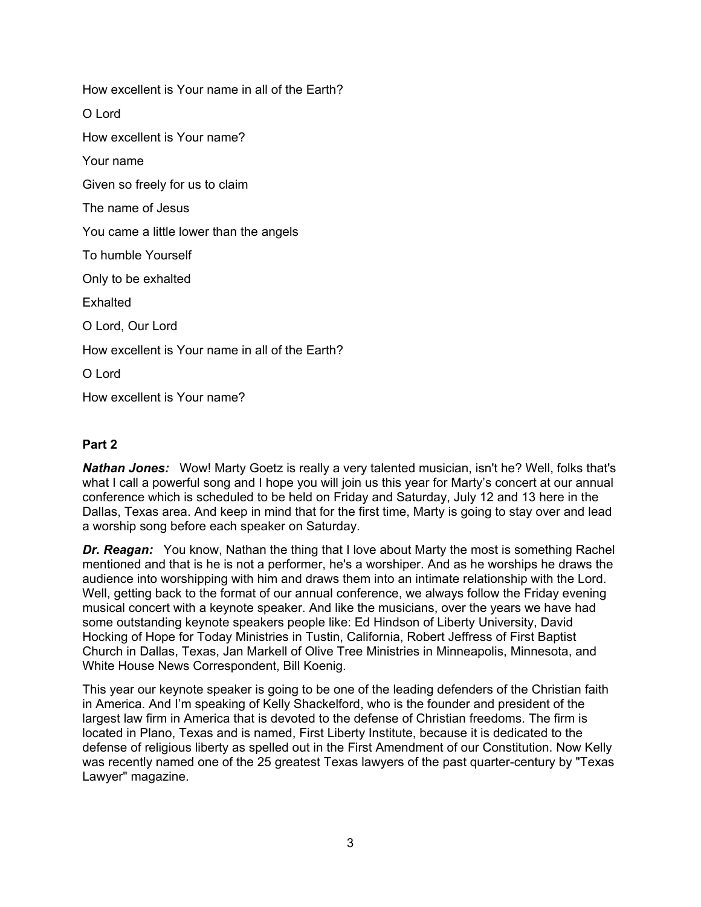How excellent is Your name in all of the Earth? O Lord How excellent is Your name? Your name Given so freely for us to claim The name of Jesus You came a little lower than the angels To humble Yourself Only to be exhalted **Exhalted** O Lord, Our Lord How excellent is Your name in all of the Earth? O Lord How excellent is Your name?

# **Part 2**

*Nathan Jones:* Wow! Marty Goetz is really a very talented musician, isn't he? Well, folks that's what I call a powerful song and I hope you will join us this year for Marty's concert at our annual conference which is scheduled to be held on Friday and Saturday, July 12 and 13 here in the Dallas, Texas area. And keep in mind that for the first time, Marty is going to stay over and lead a worship song before each speaker on Saturday.

*Dr. Reagan:* You know, Nathan the thing that I love about Marty the most is something Rachel mentioned and that is he is not a performer, he's a worshiper. And as he worships he draws the audience into worshipping with him and draws them into an intimate relationship with the Lord. Well, getting back to the format of our annual conference, we always follow the Friday evening musical concert with a keynote speaker. And like the musicians, over the years we have had some outstanding keynote speakers people like: Ed Hindson of Liberty University, David Hocking of Hope for Today Ministries in Tustin, California, Robert Jeffress of First Baptist Church in Dallas, Texas, Jan Markell of Olive Tree Ministries in Minneapolis, Minnesota, and White House News Correspondent, Bill Koenig.

This year our keynote speaker is going to be one of the leading defenders of the Christian faith in America. And I'm speaking of Kelly Shackelford, who is the founder and president of the largest law firm in America that is devoted to the defense of Christian freedoms. The firm is located in Plano, Texas and is named, First Liberty Institute, because it is dedicated to the defense of religious liberty as spelled out in the First Amendment of our Constitution. Now Kelly was recently named one of the 25 greatest Texas lawyers of the past quarter-century by "Texas Lawyer" magazine.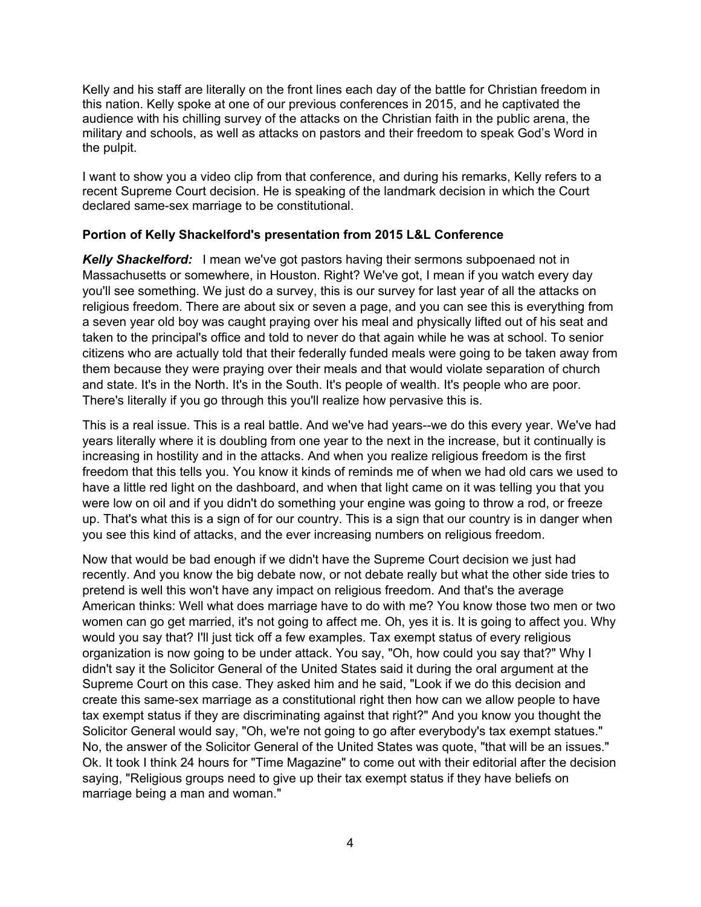Kelly and his staff are literally on the front lines each day of the battle for Christian freedom in this nation. Kelly spoke at one of our previous conferences in 2015, and he captivated the audience with his chilling survey of the attacks on the Christian faith in the public arena, the military and schools, as well as attacks on pastors and their freedom to speak God's Word in the pulpit.

I want to show you a video clip from that conference, and during his remarks, Kelly refers to a recent Supreme Court decision. He is speaking of the landmark decision in which the Court declared same-sex marriage to be constitutional.

#### **Portion of Kelly Shackelford's presentation from 2015 L&L Conference**

*Kelly Shackelford:* I mean we've got pastors having their sermons subpoenaed not in Massachusetts or somewhere, in Houston. Right? We've got, I mean if you watch every day you'll see something. We just do a survey, this is our survey for last year of all the attacks on religious freedom. There are about six or seven a page, and you can see this is everything from a seven year old boy was caught praying over his meal and physically lifted out of his seat and taken to the principal's office and told to never do that again while he was at school. To senior citizens who are actually told that their federally funded meals were going to be taken away from them because they were praying over their meals and that would violate separation of church and state. It's in the North. It's in the South. It's people of wealth. It's people who are poor. There's literally if you go through this you'll realize how pervasive this is.

This is a real issue. This is a real battle. And we've had years--we do this every year. We've had years literally where it is doubling from one year to the next in the increase, but it continually is increasing in hostility and in the attacks. And when you realize religious freedom is the first freedom that this tells you. You know it kinds of reminds me of when we had old cars we used to have a little red light on the dashboard, and when that light came on it was telling you that you were low on oil and if you didn't do something your engine was going to throw a rod, or freeze up. That's what this is a sign of for our country. This is a sign that our country is in danger when you see this kind of attacks, and the ever increasing numbers on religious freedom.

Now that would be bad enough if we didn't have the Supreme Court decision we just had recently. And you know the big debate now, or not debate really but what the other side tries to pretend is well this won't have any impact on religious freedom. And that's the average American thinks: Well what does marriage have to do with me? You know those two men or two women can go get married, it's not going to affect me. Oh, yes it is. It is going to affect you. Why would you say that? I'll just tick off a few examples. Tax exempt status of every religious organization is now going to be under attack. You say, "Oh, how could you say that?" Why I didn't say it the Solicitor General of the United States said it during the oral argument at the Supreme Court on this case. They asked him and he said, "Look if we do this decision and create this same-sex marriage as a constitutional right then how can we allow people to have tax exempt status if they are discriminating against that right?" And you know you thought the Solicitor General would say, "Oh, we're not going to go after everybody's tax exempt statues." No, the answer of the Solicitor General of the United States was quote, "that will be an issues." Ok. It took I think 24 hours for "Time Magazine" to come out with their editorial after the decision saying, "Religious groups need to give up their tax exempt status if they have beliefs on marriage being a man and woman."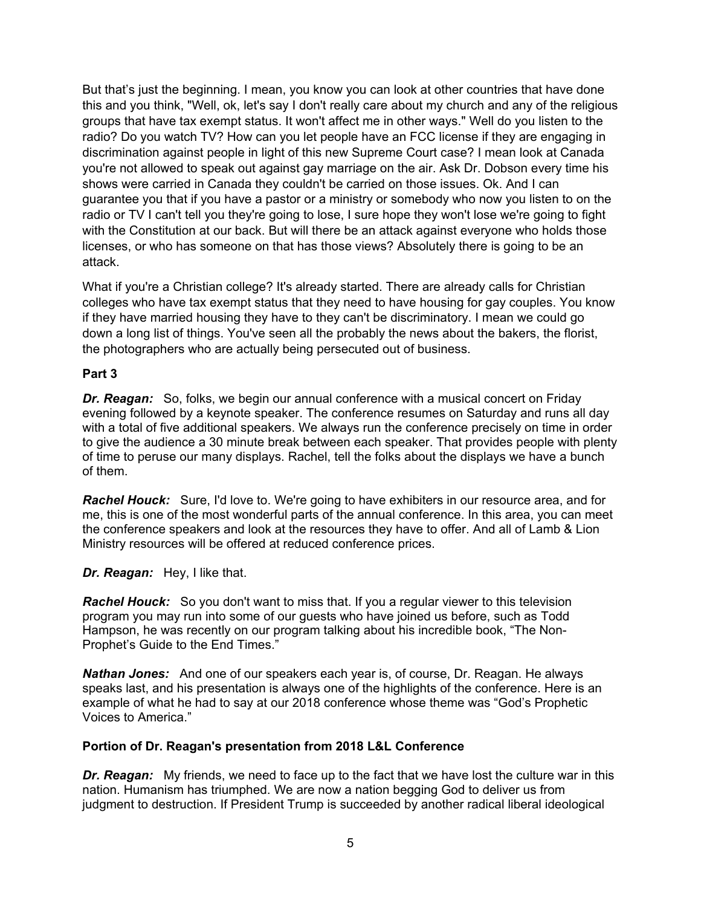But that's just the beginning. I mean, you know you can look at other countries that have done this and you think, "Well, ok, let's say I don't really care about my church and any of the religious groups that have tax exempt status. It won't affect me in other ways." Well do you listen to the radio? Do you watch TV? How can you let people have an FCC license if they are engaging in discrimination against people in light of this new Supreme Court case? I mean look at Canada you're not allowed to speak out against gay marriage on the air. Ask Dr. Dobson every time his shows were carried in Canada they couldn't be carried on those issues. Ok. And I can guarantee you that if you have a pastor or a ministry or somebody who now you listen to on the radio or TV I can't tell you they're going to lose, I sure hope they won't lose we're going to fight with the Constitution at our back. But will there be an attack against everyone who holds those licenses, or who has someone on that has those views? Absolutely there is going to be an attack.

What if you're a Christian college? It's already started. There are already calls for Christian colleges who have tax exempt status that they need to have housing for gay couples. You know if they have married housing they have to they can't be discriminatory. I mean we could go down a long list of things. You've seen all the probably the news about the bakers, the florist, the photographers who are actually being persecuted out of business.

#### **Part 3**

*Dr. Reagan:* So, folks, we begin our annual conference with a musical concert on Friday evening followed by a keynote speaker. The conference resumes on Saturday and runs all day with a total of five additional speakers. We always run the conference precisely on time in order to give the audience a 30 minute break between each speaker. That provides people with plenty of time to peruse our many displays. Rachel, tell the folks about the displays we have a bunch of them.

*Rachel Houck:* Sure, I'd love to. We're going to have exhibiters in our resource area, and for me, this is one of the most wonderful parts of the annual conference. In this area, you can meet the conference speakers and look at the resources they have to offer. And all of Lamb & Lion Ministry resources will be offered at reduced conference prices.

*Dr. Reagan:* Hey, I like that.

*Rachel Houck:* So you don't want to miss that. If you a regular viewer to this television program you may run into some of our guests who have joined us before, such as Todd Hampson, he was recently on our program talking about his incredible book, "The Non-Prophet's Guide to the End Times."

*Nathan Jones:* And one of our speakers each year is, of course, Dr. Reagan. He always speaks last, and his presentation is always one of the highlights of the conference. Here is an example of what he had to say at our 2018 conference whose theme was "God's Prophetic Voices to America."

#### **Portion of Dr. Reagan's presentation from 2018 L&L Conference**

*Dr. Reagan:* My friends, we need to face up to the fact that we have lost the culture war in this nation. Humanism has triumphed. We are now a nation begging God to deliver us from judgment to destruction. If President Trump is succeeded by another radical liberal ideological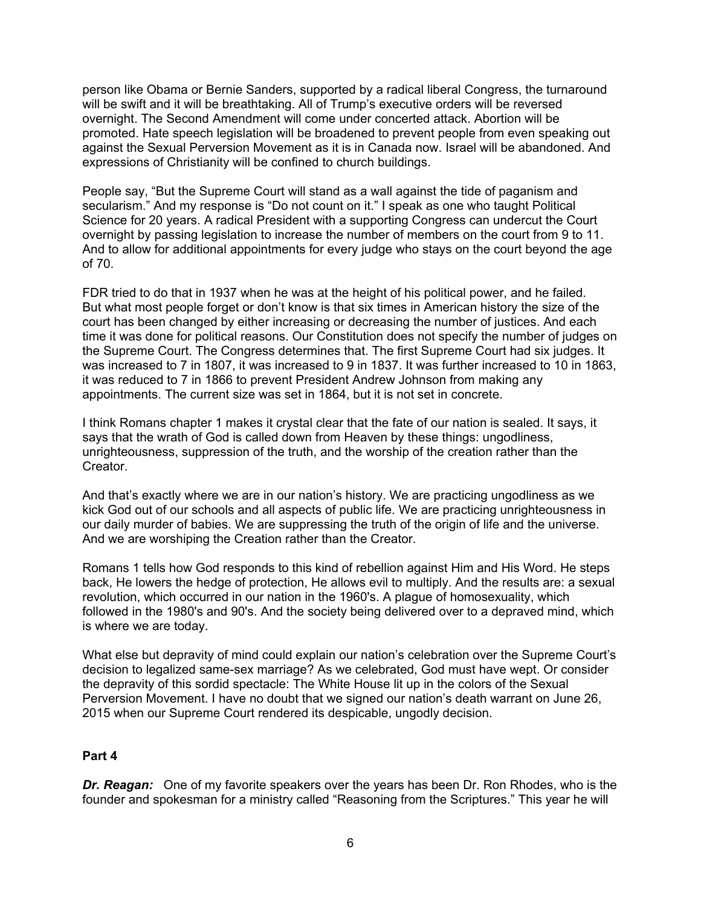person like Obama or Bernie Sanders, supported by a radical liberal Congress, the turnaround will be swift and it will be breathtaking. All of Trump's executive orders will be reversed overnight. The Second Amendment will come under concerted attack. Abortion will be promoted. Hate speech legislation will be broadened to prevent people from even speaking out against the Sexual Perversion Movement as it is in Canada now. Israel will be abandoned. And expressions of Christianity will be confined to church buildings.

People say, "But the Supreme Court will stand as a wall against the tide of paganism and secularism." And my response is "Do not count on it." I speak as one who taught Political Science for 20 years. A radical President with a supporting Congress can undercut the Court overnight by passing legislation to increase the number of members on the court from 9 to 11. And to allow for additional appointments for every judge who stays on the court beyond the age of 70.

FDR tried to do that in 1937 when he was at the height of his political power, and he failed. But what most people forget or don't know is that six times in American history the size of the court has been changed by either increasing or decreasing the number of justices. And each time it was done for political reasons. Our Constitution does not specify the number of judges on the Supreme Court. The Congress determines that. The first Supreme Court had six judges. It was increased to 7 in 1807, it was increased to 9 in 1837. It was further increased to 10 in 1863, it was reduced to 7 in 1866 to prevent President Andrew Johnson from making any appointments. The current size was set in 1864, but it is not set in concrete.

I think Romans chapter 1 makes it crystal clear that the fate of our nation is sealed. It says, it says that the wrath of God is called down from Heaven by these things: ungodliness, unrighteousness, suppression of the truth, and the worship of the creation rather than the **Creator** 

And that's exactly where we are in our nation's history. We are practicing ungodliness as we kick God out of our schools and all aspects of public life. We are practicing unrighteousness in our daily murder of babies. We are suppressing the truth of the origin of life and the universe. And we are worshiping the Creation rather than the Creator.

Romans 1 tells how God responds to this kind of rebellion against Him and His Word. He steps back, He lowers the hedge of protection, He allows evil to multiply. And the results are: a sexual revolution, which occurred in our nation in the 1960's. A plague of homosexuality, which followed in the 1980's and 90's. And the society being delivered over to a depraved mind, which is where we are today.

What else but depravity of mind could explain our nation's celebration over the Supreme Court's decision to legalized same-sex marriage? As we celebrated, God must have wept. Or consider the depravity of this sordid spectacle: The White House lit up in the colors of the Sexual Perversion Movement. I have no doubt that we signed our nation's death warrant on June 26, 2015 when our Supreme Court rendered its despicable, ungodly decision.

#### **Part 4**

*Dr. Reagan:* One of my favorite speakers over the years has been Dr. Ron Rhodes, who is the founder and spokesman for a ministry called "Reasoning from the Scriptures." This year he will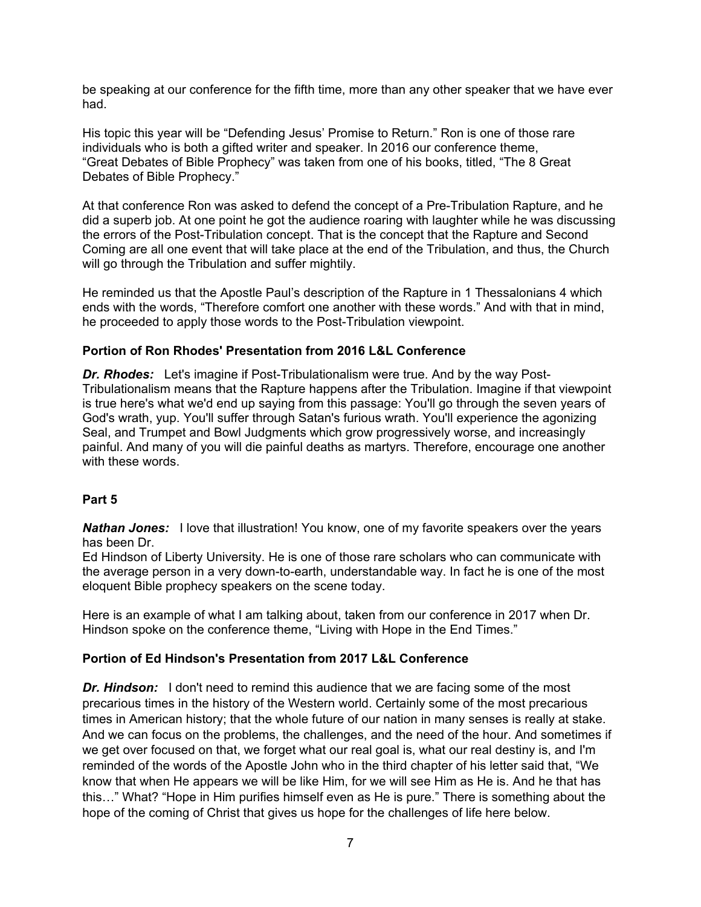be speaking at our conference for the fifth time, more than any other speaker that we have ever had.

His topic this year will be "Defending Jesus' Promise to Return." Ron is one of those rare individuals who is both a gifted writer and speaker. In 2016 our conference theme, "Great Debates of Bible Prophecy" was taken from one of his books, titled, "The 8 Great Debates of Bible Prophecy."

At that conference Ron was asked to defend the concept of a Pre-Tribulation Rapture, and he did a superb job. At one point he got the audience roaring with laughter while he was discussing the errors of the Post-Tribulation concept. That is the concept that the Rapture and Second Coming are all one event that will take place at the end of the Tribulation, and thus, the Church will go through the Tribulation and suffer mightily.

He reminded us that the Apostle Paul's description of the Rapture in 1 Thessalonians 4 which ends with the words, "Therefore comfort one another with these words." And with that in mind, he proceeded to apply those words to the Post-Tribulation viewpoint.

#### **Portion of Ron Rhodes' Presentation from 2016 L&L Conference**

*Dr. Rhodes:* Let's imagine if Post-Tribulationalism were true. And by the way Post-Tribulationalism means that the Rapture happens after the Tribulation. Imagine if that viewpoint is true here's what we'd end up saying from this passage: You'll go through the seven years of God's wrath, yup. You'll suffer through Satan's furious wrath. You'll experience the agonizing Seal, and Trumpet and Bowl Judgments which grow progressively worse, and increasingly painful. And many of you will die painful deaths as martyrs. Therefore, encourage one another with these words.

#### **Part 5**

**Nathan Jones:** I love that illustration! You know, one of my favorite speakers over the years has been Dr.

Ed Hindson of Liberty University. He is one of those rare scholars who can communicate with the average person in a very down-to-earth, understandable way. In fact he is one of the most eloquent Bible prophecy speakers on the scene today.

Here is an example of what I am talking about, taken from our conference in 2017 when Dr. Hindson spoke on the conference theme, "Living with Hope in the End Times."

#### **Portion of Ed Hindson's Presentation from 2017 L&L Conference**

**Dr. Hindson:** I don't need to remind this audience that we are facing some of the most precarious times in the history of the Western world. Certainly some of the most precarious times in American history; that the whole future of our nation in many senses is really at stake. And we can focus on the problems, the challenges, and the need of the hour. And sometimes if we get over focused on that, we forget what our real goal is, what our real destiny is, and I'm reminded of the words of the Apostle John who in the third chapter of his letter said that, "We know that when He appears we will be like Him, for we will see Him as He is. And he that has this…" What? "Hope in Him purifies himself even as He is pure." There is something about the hope of the coming of Christ that gives us hope for the challenges of life here below.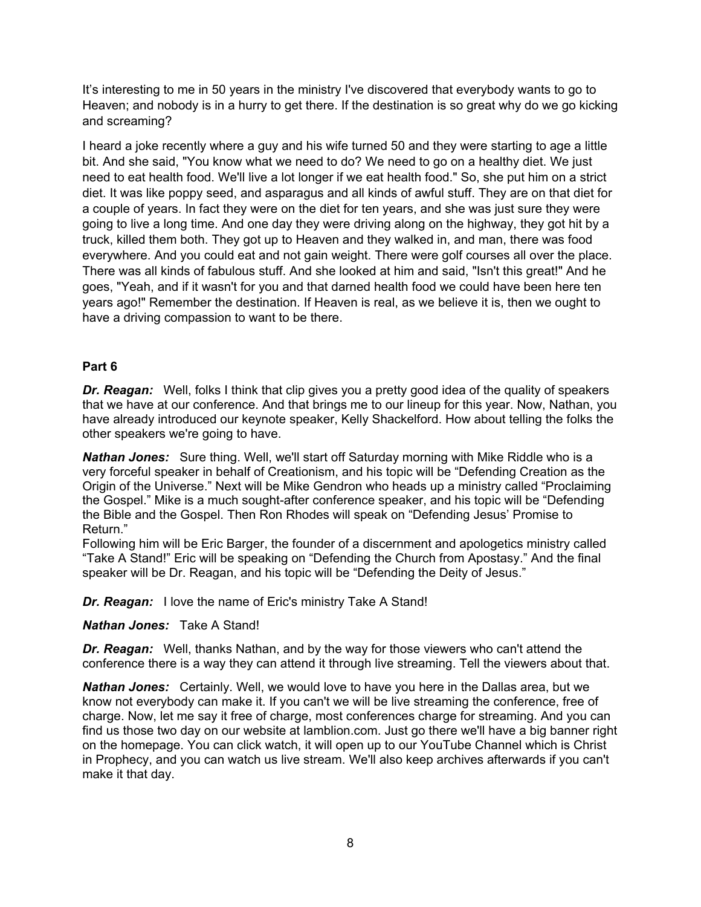It's interesting to me in 50 years in the ministry I've discovered that everybody wants to go to Heaven; and nobody is in a hurry to get there. If the destination is so great why do we go kicking and screaming?

I heard a joke recently where a guy and his wife turned 50 and they were starting to age a little bit. And she said, "You know what we need to do? We need to go on a healthy diet. We just need to eat health food. We'll live a lot longer if we eat health food." So, she put him on a strict diet. It was like poppy seed, and asparagus and all kinds of awful stuff. They are on that diet for a couple of years. In fact they were on the diet for ten years, and she was just sure they were going to live a long time. And one day they were driving along on the highway, they got hit by a truck, killed them both. They got up to Heaven and they walked in, and man, there was food everywhere. And you could eat and not gain weight. There were golf courses all over the place. There was all kinds of fabulous stuff. And she looked at him and said, "Isn't this great!" And he goes, "Yeah, and if it wasn't for you and that darned health food we could have been here ten years ago!" Remember the destination. If Heaven is real, as we believe it is, then we ought to have a driving compassion to want to be there.

# **Part 6**

*Dr. Reagan:* Well, folks I think that clip gives you a pretty good idea of the quality of speakers that we have at our conference. And that brings me to our lineup for this year. Now, Nathan, you have already introduced our keynote speaker, Kelly Shackelford. How about telling the folks the other speakers we're going to have.

*Nathan Jones:* Sure thing. Well, we'll start off Saturday morning with Mike Riddle who is a very forceful speaker in behalf of Creationism, and his topic will be "Defending Creation as the Origin of the Universe." Next will be Mike Gendron who heads up a ministry called "Proclaiming the Gospel." Mike is a much sought-after conference speaker, and his topic will be "Defending the Bible and the Gospel. Then Ron Rhodes will speak on "Defending Jesus' Promise to Return."

Following him will be Eric Barger, the founder of a discernment and apologetics ministry called "Take A Stand!" Eric will be speaking on "Defending the Church from Apostasy." And the final speaker will be Dr. Reagan, and his topic will be "Defending the Deity of Jesus."

*Dr. Reagan:* I love the name of Eric's ministry Take A Stand!

#### *Nathan Jones:* Take A Stand!

*Dr. Reagan:* Well, thanks Nathan, and by the way for those viewers who can't attend the conference there is a way they can attend it through live streaming. Tell the viewers about that.

*Nathan Jones:* Certainly. Well, we would love to have you here in the Dallas area, but we know not everybody can make it. If you can't we will be live streaming the conference, free of charge. Now, let me say it free of charge, most conferences charge for streaming. And you can find us those two day on our website at lamblion.com. Just go there we'll have a big banner right on the homepage. You can click watch, it will open up to our YouTube Channel which is Christ in Prophecy, and you can watch us live stream. We'll also keep archives afterwards if you can't make it that day.